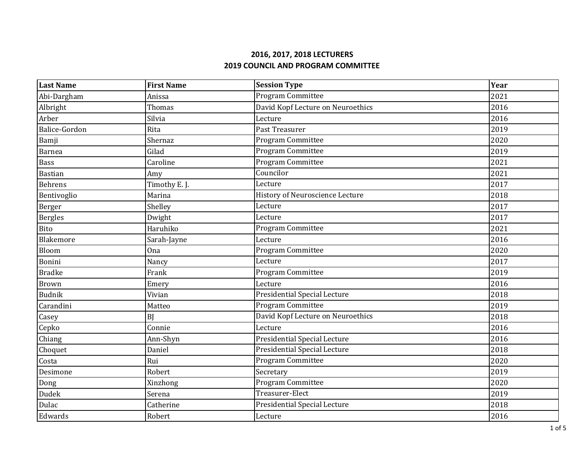| <b>Last Name</b> | <b>First Name</b> | <b>Session Type</b>                 | Year |
|------------------|-------------------|-------------------------------------|------|
| Abi-Dargham      | Anissa            | Program Committee                   | 2021 |
| Albright         | Thomas            | David Kopf Lecture on Neuroethics   | 2016 |
| Arber            | Silvia            | Lecture                             | 2016 |
| Balice-Gordon    | Rita              | Past Treasurer                      | 2019 |
| Bamji            | Shernaz           | Program Committee                   | 2020 |
| <b>Barnea</b>    | Gilad             | Program Committee                   | 2019 |
| <b>Bass</b>      | Caroline          | Program Committee                   | 2021 |
| <b>Bastian</b>   | Amy               | Councilor                           | 2021 |
| <b>Behrens</b>   | Timothy E. J.     | Lecture                             | 2017 |
| Bentivoglio      | Marina            | History of Neuroscience Lecture     | 2018 |
| Berger           | Shelley           | Lecture                             | 2017 |
| Bergles          | Dwight            | Lecture                             | 2017 |
| Bito             | Haruhiko          | <b>Program Committee</b>            | 2021 |
| Blakemore        | Sarah-Jayne       | Lecture                             | 2016 |
| Bloom            | <b>Ona</b>        | Program Committee                   | 2020 |
| Bonini           | Nancy             | Lecture                             | 2017 |
| <b>Bradke</b>    | Frank             | Program Committee                   | 2019 |
| <b>Brown</b>     | Emery             | Lecture                             | 2016 |
| <b>Budnik</b>    | Vivian            | <b>Presidential Special Lecture</b> | 2018 |
| Carandini        | Matteo            | Program Committee                   | 2019 |
| Casey            | <b>BI</b>         | David Kopf Lecture on Neuroethics   | 2018 |
| Cepko            | Connie            | Lecture                             | 2016 |
| Chiang           | Ann-Shyn          | <b>Presidential Special Lecture</b> | 2016 |
| Choquet          | Daniel            | <b>Presidential Special Lecture</b> | 2018 |
| Costa            | Rui               | Program Committee                   | 2020 |
| Desimone         | Robert            | Secretary                           | 2019 |
| Dong             | Xinzhong          | Program Committee                   | 2020 |
| Dudek            | Serena            | Treasurer-Elect                     | 2019 |
| Dulac            | Catherine         | <b>Presidential Special Lecture</b> | 2018 |
| Edwards          | Robert            | Lecture                             | 2016 |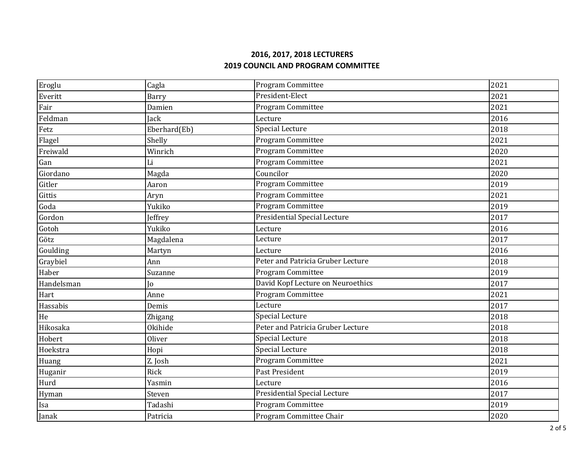| Eroglu     | Cagla        | Program Committee                   | 2021 |
|------------|--------------|-------------------------------------|------|
| Everitt    | <b>Barry</b> | President-Elect                     | 2021 |
| Fair       | Damien       | Program Committee                   | 2021 |
| Feldman    | Jack         | Lecture                             | 2016 |
| Fetz       | Eberhard(Eb) | <b>Special Lecture</b>              | 2018 |
| Flagel     | Shelly       | Program Committee                   | 2021 |
| Freiwald   | Winrich      | Program Committee                   | 2020 |
| Gan        | Li           | Program Committee                   | 2021 |
| Giordano   | Magda        | Councilor                           | 2020 |
| Gitler     | Aaron        | Program Committee                   | 2019 |
| Gittis     | Aryn         | Program Committee                   | 2021 |
| Goda       | Yukiko       | Program Committee                   | 2019 |
| Gordon     | Jeffrey      | <b>Presidential Special Lecture</b> | 2017 |
| Gotoh      | Yukiko       | Lecture                             | 2016 |
| Götz       | Magdalena    | Lecture                             | 2017 |
| Goulding   | Martyn       | Lecture                             | 2016 |
| Graybiel   | Ann          | Peter and Patricia Gruber Lecture   | 2018 |
| Haber      | Suzanne      | Program Committee                   | 2019 |
| Handelsman | Jo           | David Kopf Lecture on Neuroethics   | 2017 |
| Hart       | Anne         | Program Committee                   | 2021 |
| Hassabis   | Demis        | Lecture                             | 2017 |
| He         | Zhigang      | <b>Special Lecture</b>              | 2018 |
| Hikosaka   | Okihide      | Peter and Patricia Gruber Lecture   | 2018 |
| Hobert     | Oliver       | Special Lecture                     | 2018 |
| Hoekstra   | Hopi         | Special Lecture                     | 2018 |
| Huang      | Z. Josh      | Program Committee                   | 2021 |
| Huganir    | Rick         | Past President                      | 2019 |
| Hurd       | Yasmin       | Lecture                             | 2016 |
| Hyman      | Steven       | <b>Presidential Special Lecture</b> | 2017 |
| Isa        | Tadashi      | Program Committee                   | 2019 |
| Janak      | Patricia     | Program Committee Chair             | 2020 |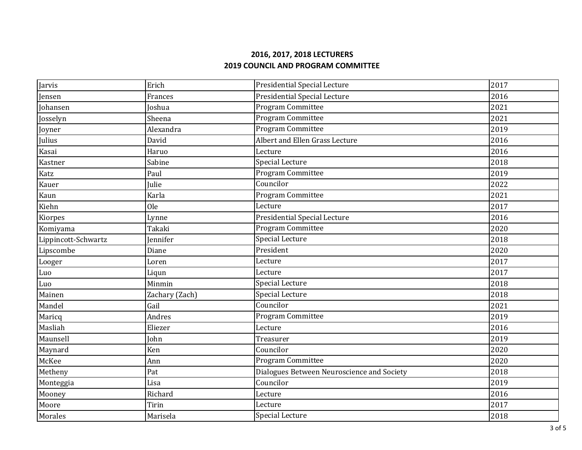| Jarvis              | Erich          | <b>Presidential Special Lecture</b>        | 2017 |
|---------------------|----------------|--------------------------------------------|------|
| Jensen              | Frances        | Presidential Special Lecture               | 2016 |
| Johansen            | Joshua         | Program Committee                          | 2021 |
| Josselyn            | Sheena         | Program Committee                          | 2021 |
| Joyner              | Alexandra      | Program Committee                          | 2019 |
| Julius              | David          | Albert and Ellen Grass Lecture             | 2016 |
| Kasai               | Haruo          | Lecture                                    | 2016 |
| Kastner             | Sabine         | <b>Special Lecture</b>                     | 2018 |
| Katz                | Paul           | Program Committee                          | 2019 |
| Kauer               | Julie          | Councilor                                  | 2022 |
| Kaun                | Karla          | Program Committee                          | 2021 |
| Kiehn               | <b>Ole</b>     | Lecture                                    | 2017 |
| Kiorpes             | Lynne          | Presidential Special Lecture               | 2016 |
| Komiyama            | Takaki         | Program Committee                          | 2020 |
| Lippincott-Schwartz | Jennifer       | <b>Special Lecture</b>                     | 2018 |
| Lipscombe           | Diane          | President                                  | 2020 |
| Looger              | Loren          | Lecture                                    | 2017 |
| Luo                 | Liqun          | Lecture                                    | 2017 |
| Luo                 | Minmin         | Special Lecture                            | 2018 |
| Mainen              | Zachary (Zach) | Special Lecture                            | 2018 |
| Mandel              | Gail           | Councilor                                  | 2021 |
| Maricq              | Andres         | Program Committee                          | 2019 |
| Masliah             | Eliezer        | Lecture                                    | 2016 |
| Maunsell            | John           | Treasurer                                  | 2019 |
| Maynard             | Ken            | Councilor                                  | 2020 |
| McKee               | Ann            | Program Committee                          | 2020 |
| Metheny             | Pat            | Dialogues Between Neuroscience and Society | 2018 |
| Monteggia           | Lisa           | Councilor                                  | 2019 |
| Mooney              | Richard        | Lecture                                    | 2016 |
| Moore               | Tirin          | Lecture                                    | 2017 |
| Morales             | Marisela       | Special Lecture                            | 2018 |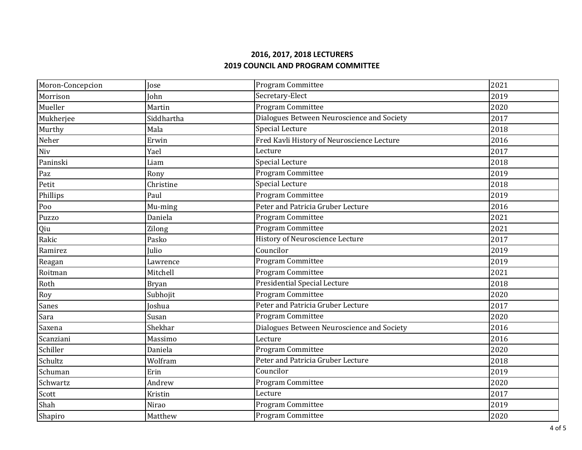| Moron-Concepcion | Jose         | Program Committee                          | 2021 |
|------------------|--------------|--------------------------------------------|------|
| Morrison         | John         | Secretary-Elect                            | 2019 |
| Mueller          | Martin       | Program Committee                          | 2020 |
| Mukherjee        | Siddhartha   | Dialogues Between Neuroscience and Society | 2017 |
| Murthy           | Mala         | <b>Special Lecture</b>                     | 2018 |
| Neher            | Erwin        | Fred Kavli History of Neuroscience Lecture | 2016 |
| Niv              | Yael         | Lecture                                    | 2017 |
| Paninski         | Liam         | <b>Special Lecture</b>                     | 2018 |
| Paz              | Rony         | <b>Program Committee</b>                   | 2019 |
| Petit            | Christine    | Special Lecture                            | 2018 |
| Phillips         | Paul         | Program Committee                          | 2019 |
| Poo              | Mu-ming      | Peter and Patricia Gruber Lecture          | 2016 |
| Puzzo            | Daniela      | Program Committee                          | 2021 |
| Qiu              | Zilong       | Program Committee                          | 2021 |
| Rakic            | Pasko        | History of Neuroscience Lecture            | 2017 |
| Ramirez          | Julio        | Councilor                                  | 2019 |
| Reagan           | Lawrence     | Program Committee                          | 2019 |
| Roitman          | Mitchell     | Program Committee                          | 2021 |
| Roth             | <b>Bryan</b> | Presidential Special Lecture               | 2018 |
| Roy              | Subhojit     | Program Committee                          | 2020 |
| Sanes            | Joshua       | Peter and Patricia Gruber Lecture          | 2017 |
| Sara             | Susan        | Program Committee                          | 2020 |
| Saxena           | Shekhar      | Dialogues Between Neuroscience and Society | 2016 |
| Scanziani        | Massimo      | Lecture                                    | 2016 |
| Schiller         | Daniela      | Program Committee                          | 2020 |
| Schultz          | Wolfram      | Peter and Patricia Gruber Lecture          | 2018 |
| Schuman          | Erin         | Councilor                                  | 2019 |
| Schwartz         | Andrew       | Program Committee                          | 2020 |
| Scott            | Kristin      | Lecture                                    | 2017 |
| Shah             | Nirao        | Program Committee                          | 2019 |
| Shapiro          | Matthew      | Program Committee                          | 2020 |